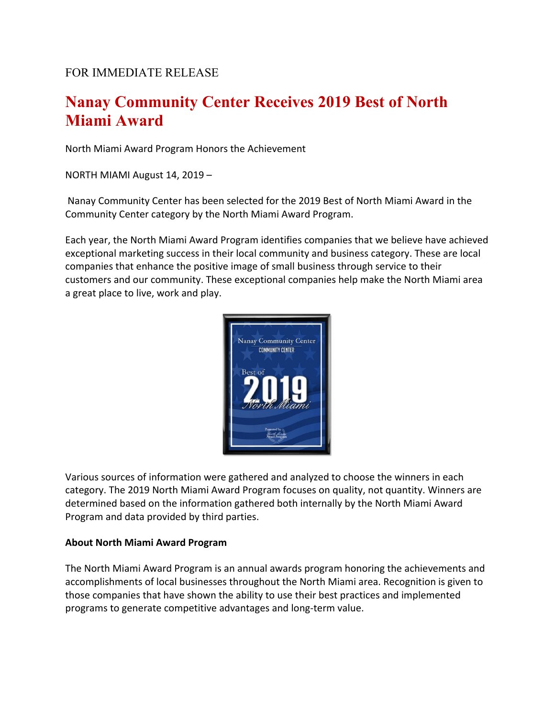## FOR IMMEDIATE RELEASE

## **Nanay Community Center Receives 2019 Best of North Miami Award**

North Miami Award Program Honors the Achievement

NORTH MIAMI August 14, 2019 –

Nanay Community Center has been selected for the 2019 Best of North Miami Award in the Community Center category by the North Miami Award Program.

Each year, the North Miami Award Program identifies companies that we believe have achieved exceptional marketing success in their local community and business category. These are local companies that enhance the positive image of small business through service to their customers and our community. These exceptional companies help make the North Miami area a great place to live, work and play.



Various sources of information were gathered and analyzed to choose the winners in each category. The 2019 North Miami Award Program focuses on quality, not quantity. Winners are determined based on the information gathered both internally by the North Miami Award Program and data provided by third parties.

## **About North Miami Award Program**

The North Miami Award Program is an annual awards program honoring the achievements and accomplishments of local businesses throughout the North Miami area. Recognition is given to those companies that have shown the ability to use their best practices and implemented programs to generate competitive advantages and long-term value.